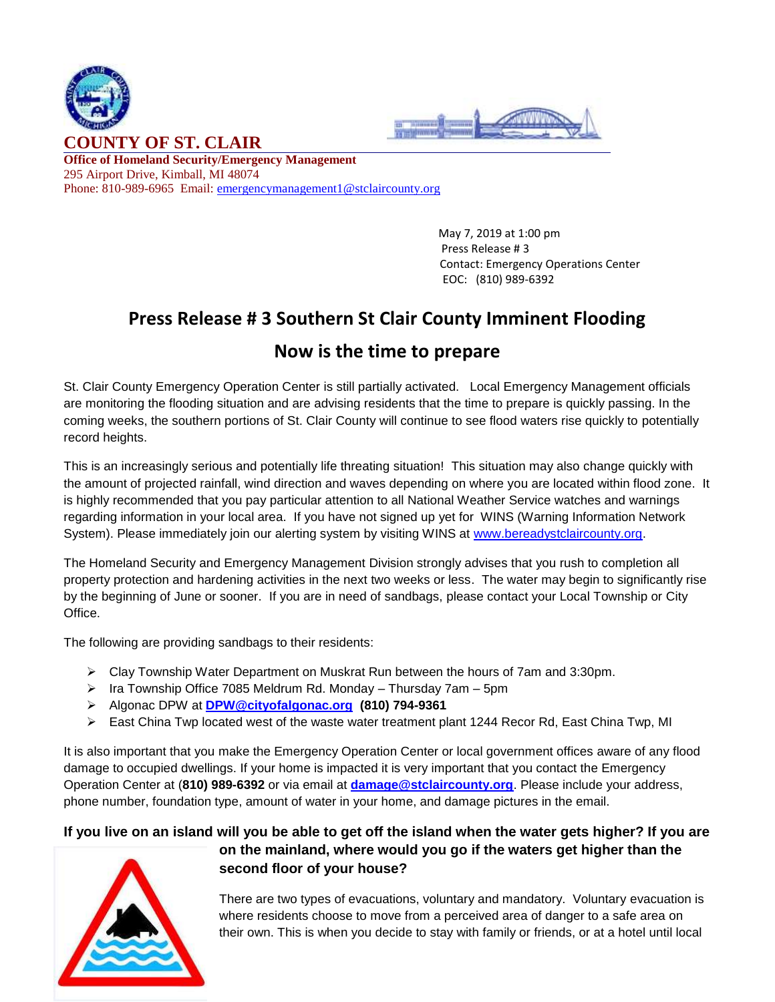



**Office of Homeland Security/Emergency Management** 295 Airport Drive, Kimball, MI 48074 Phone: 810-989-6965 Email: [emergencymanagement1@stclaircounty.org](mailto:emergencymanagement1@stclaircounty.org)

> May 7, 2019 at 1:00 pm Press Release # 3 Contact: Emergency Operations Center EOC: (810) 989-6392

### **Press Release # 3 Southern St Clair County Imminent Flooding**

### **Now is the time to prepare**

St. Clair County Emergency Operation Center is still partially activated. Local Emergency Management officials are monitoring the flooding situation and are advising residents that the time to prepare is quickly passing. In the coming weeks, the southern portions of St. Clair County will continue to see flood waters rise quickly to potentially record heights.

This is an increasingly serious and potentially life threating situation! This situation may also change quickly with the amount of projected rainfall, wind direction and waves depending on where you are located within flood zone. It is highly recommended that you pay particular attention to all National Weather Service watches and warnings regarding information in your local area. If you have not signed up yet for WINS (Warning Information Network System). Please immediately join our alerting system by visiting WINS at [www.bereadystclaircounty.org.](http://www.bereadystclaircounty.org/)

The Homeland Security and Emergency Management Division strongly advises that you rush to completion all property protection and hardening activities in the next two weeks or less. The water may begin to significantly rise by the beginning of June or sooner. If you are in need of sandbags, please contact your Local Township or City Office.

The following are providing sandbags to their residents:

- Clay Township Water Department on Muskrat Run between the hours of 7am and 3:30pm.
- $\triangleright$  Ira Township Office 7085 Meldrum Rd. Monday Thursday 7am 5pm
- Algonac DPW at **[DPW@cityofalgonac.org](mailto:DPW@cityofalgonac.org) (810) 794-9361**
- $\triangleright$  East China Twp located west of the waste water treatment plant 1244 Recor Rd, East China Twp, MI

It is also important that you make the Emergency Operation Center or local government offices aware of any flood damage to occupied dwellings. If your home is impacted it is very important that you contact the Emergency Operation Center at (**810) 989-6392** or via email at **[damage@stclaircounty.org](mailto:damage@stclaircounty.org)**. Please include your address, phone number, foundation type, amount of water in your home, and damage pictures in the email.

# **If you live on an island will you be able to get off the island when the water gets higher? If you are**



# **on the mainland, where would you go if the waters get higher than the second floor of your house?**

There are two types of evacuations, voluntary and mandatory. Voluntary evacuation is where residents choose to move from a perceived area of danger to a safe area on their own. This is when you decide to stay with family or friends, or at a hotel until local